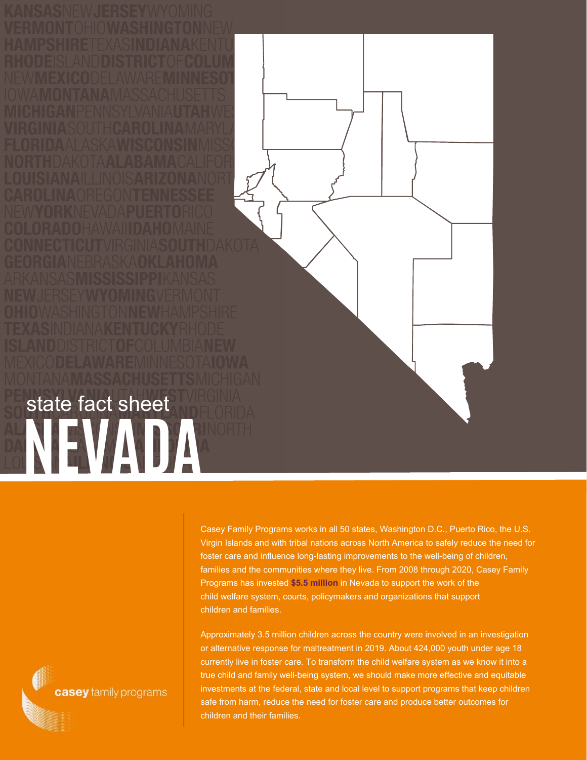Casey Family Programs works in all 50 states, Washington D.C., Puerto Rico, the U.S. Virgin Islands and with tribal nations across North America to safely reduce the need for foster care and influence long-lasting improvements to the well-being of children, families and the communities where they live. From 2008 through 2020, Casey Family Programs has invested **\$5.5 million** in Nevada to support the work of the child welfare system, courts, policymakers and organizations that support

children and families.

Approximately 3.5 million children across the country were involved in an investigation or alternative response for maltreatment in 2019. About 424,000 youth under age 18 currently live in foster care. To transform the child welfare system as we know it into a true child and family well-being system, we should make more effective and equitable investments at the federal, state and local level to support programs that keep children safe from harm, reduce the need for foster care and produce better outcomes for children and their families.

casey family programs

## NEVADA<sup>RINORTH</sup> state fact sheet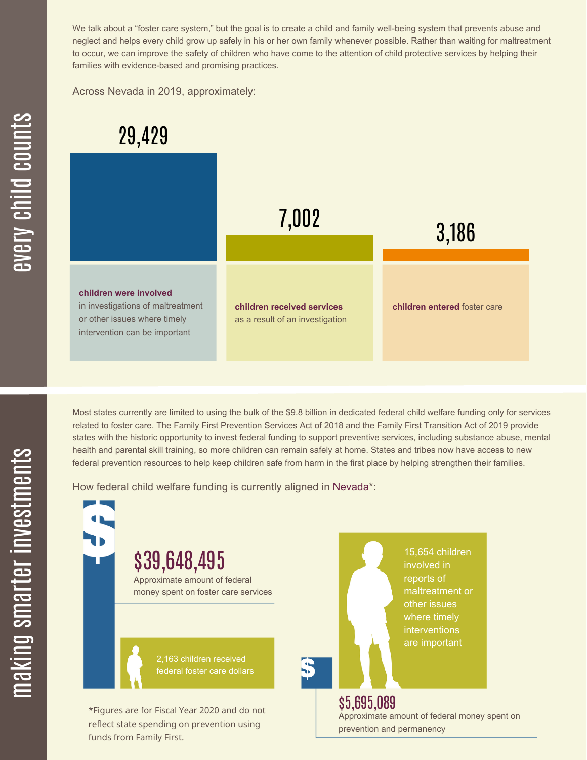We talk about a "foster care system," but the goal is to create a child and family well-being system that prevents abuse and neglect and helps every child grow up safely in his or her own family whenever possible. Rather than waiting for maltreatment to occur, we can improve the safety of children who have come to the attention of child protective services by helping their families with evidence-based and promising practices.

Across Nevada in 2019, approximately:



Most states currently are limited to using the bulk of the \$9.8 billion in dedicated federal child welfare funding only for services related to foster care. The Family First Prevention Services Act of 2018 and the Family First Transition Act of 2019 provide states with the historic opportunity to invest federal funding to support preventive services, including substance abuse, mental health and parental skill training, so more children can remain safely at home. States and tribes now have access to new federal prevention resources to help keep children safe from harm in the first place by helping strengthen their families.

How federal child welfare funding is currently aligned in Nevada\*:

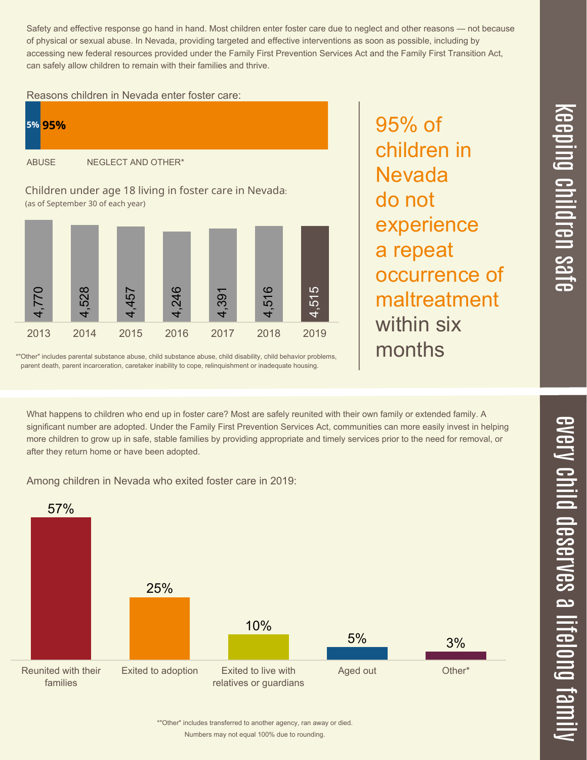Safety and effective response go hand in hand. Most children enter foster care due to neglect and other reasons — not because of physical or sexual abuse. In Nevada, providing targeted and effective interventions as soon as possible, including by accessing new federal resources provided under the Family First Prevention Services Act and the Family First Transition Act, can safely allow children to remain with their families and thrive.

95% of

**Nevada** 

a repeat

within six

do not

children in

experience

occurrence of

maltreatment

## Reasons children in Nevada enter foster care:





\*"Other" includes parental substance abuse, child substance abuse, child disability, child behavior problems, parent death, parent incarceration, caretaker inability to cope, relinquishment or inadequate housing.

What happens to children who end up in foster care? Most are safely reunited with their own family or extended family. A months

significant number are adopted. Under the Family First Prevention Services Act, communities can more easily invest in helping more children to grow up in safe, stable families by providing appropriate and timely services prior to the need for removal, or after they return home or have been adopted.

Among children in Nevada who exited foster care in 2019:



Numbers may not equal 100% due to rounding. \*"Other" includes transferred to another agency, ran away or died.  $\overline{\mathsf{Z}}$  $\overline{\mathbf{C}}$  $\equiv$  $\blacksquare$ e  $\boldsymbol{\mathcal{C}}$  $\overline{\mathbf{C}}$  $\overline{\phantom{a}}$  $\overline{\mathbf{C}}$  $\mathcal{C}$ <u>م</u>  $\equiv$ el<br>O  $\overline{\phantom{0}}$  $\blacksquare$ t<br>B mily

 $\overline{\mathbf{C}}$  $\leq$  $\overline{\mathbf{C}}$